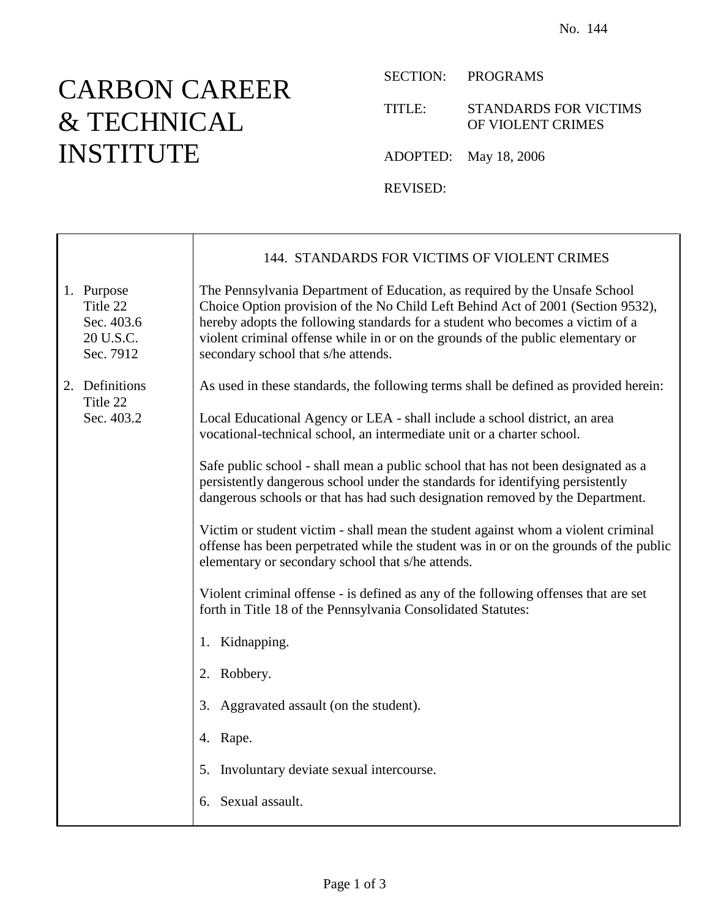## CARBON CAREER & TECHNICAL INSTITUTE

 $\mathbf{I}$ 

Г

SECTION: PROGRAMS

TITLE: STANDARDS FOR VICTIMS OF VIOLENT CRIMES

ADOPTED: May 18, 2006

REVISED:

|                                                                | 144. STANDARDS FOR VICTIMS OF VIOLENT CRIMES                                                                                                                                                                                                                                                                                                                             |
|----------------------------------------------------------------|--------------------------------------------------------------------------------------------------------------------------------------------------------------------------------------------------------------------------------------------------------------------------------------------------------------------------------------------------------------------------|
| 1. Purpose<br>Title 22<br>Sec. 403.6<br>20 U.S.C.<br>Sec. 7912 | The Pennsylvania Department of Education, as required by the Unsafe School<br>Choice Option provision of the No Child Left Behind Act of 2001 (Section 9532),<br>hereby adopts the following standards for a student who becomes a victim of a<br>violent criminal offense while in or on the grounds of the public elementary or<br>secondary school that s/he attends. |
| 2. Definitions<br>Title 22<br>Sec. 403.2                       | As used in these standards, the following terms shall be defined as provided herein:                                                                                                                                                                                                                                                                                     |
|                                                                | Local Educational Agency or LEA - shall include a school district, an area<br>vocational-technical school, an intermediate unit or a charter school.                                                                                                                                                                                                                     |
|                                                                | Safe public school - shall mean a public school that has not been designated as a<br>persistently dangerous school under the standards for identifying persistently<br>dangerous schools or that has had such designation removed by the Department.                                                                                                                     |
|                                                                | Victim or student victim - shall mean the student against whom a violent criminal<br>offense has been perpetrated while the student was in or on the grounds of the public<br>elementary or secondary school that s/he attends.                                                                                                                                          |
|                                                                | Violent criminal offense - is defined as any of the following offenses that are set<br>forth in Title 18 of the Pennsylvania Consolidated Statutes:                                                                                                                                                                                                                      |
|                                                                | 1. Kidnapping.                                                                                                                                                                                                                                                                                                                                                           |
|                                                                | 2. Robbery.                                                                                                                                                                                                                                                                                                                                                              |
|                                                                | 3. Aggravated assault (on the student).                                                                                                                                                                                                                                                                                                                                  |
|                                                                | 4. Rape.                                                                                                                                                                                                                                                                                                                                                                 |
|                                                                | 5. Involuntary deviate sexual intercourse.                                                                                                                                                                                                                                                                                                                               |
|                                                                | 6. Sexual assault.                                                                                                                                                                                                                                                                                                                                                       |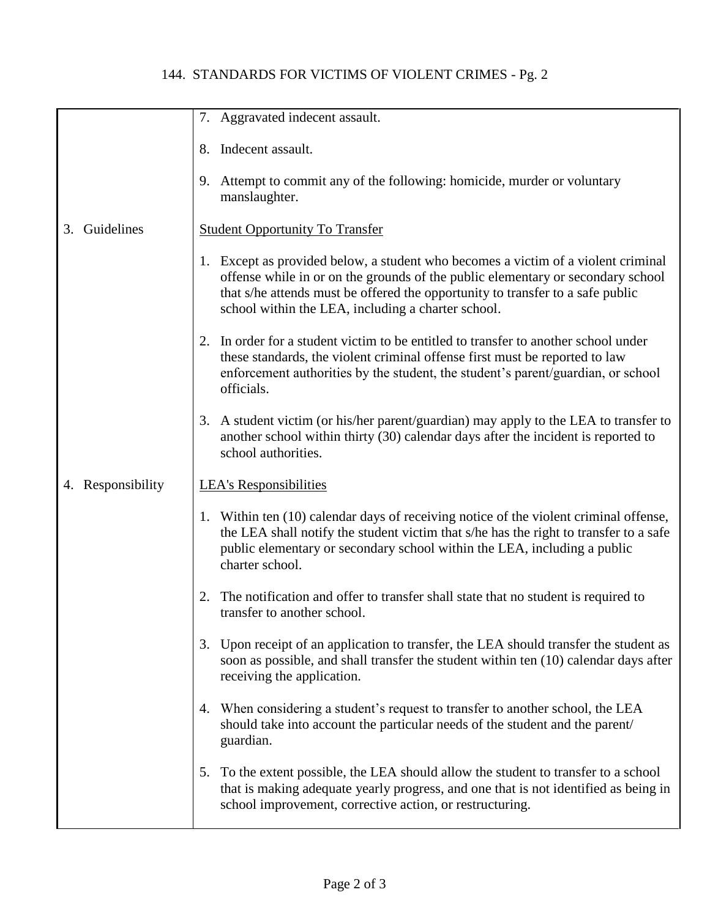## 144. STANDARDS FOR VICTIMS OF VIOLENT CRIMES - Pg. 2

|                   | 7. Aggravated indecent assault.                                                                                                                                                                                                                                                                              |
|-------------------|--------------------------------------------------------------------------------------------------------------------------------------------------------------------------------------------------------------------------------------------------------------------------------------------------------------|
|                   | Indecent assault.<br>8.                                                                                                                                                                                                                                                                                      |
|                   | 9. Attempt to commit any of the following: homicide, murder or voluntary<br>manslaughter.                                                                                                                                                                                                                    |
| Guidelines<br>3.  | <b>Student Opportunity To Transfer</b>                                                                                                                                                                                                                                                                       |
|                   | 1. Except as provided below, a student who becomes a victim of a violent criminal<br>offense while in or on the grounds of the public elementary or secondary school<br>that s/he attends must be offered the opportunity to transfer to a safe public<br>school within the LEA, including a charter school. |
|                   | 2. In order for a student victim to be entitled to transfer to another school under<br>these standards, the violent criminal offense first must be reported to law<br>enforcement authorities by the student, the student's parent/guardian, or school<br>officials.                                         |
|                   | 3. A student victim (or his/her parent/guardian) may apply to the LEA to transfer to<br>another school within thirty (30) calendar days after the incident is reported to<br>school authorities.                                                                                                             |
| 4. Responsibility | <b>LEA's Responsibilities</b>                                                                                                                                                                                                                                                                                |
|                   | 1. Within ten (10) calendar days of receiving notice of the violent criminal offense,<br>the LEA shall notify the student victim that s/he has the right to transfer to a safe<br>public elementary or secondary school within the LEA, including a public<br>charter school.                                |
|                   | The notification and offer to transfer shall state that no student is required to<br>transfer to another school.                                                                                                                                                                                             |
|                   | 3. Upon receipt of an application to transfer, the LEA should transfer the student as<br>soon as possible, and shall transfer the student within ten (10) calendar days after<br>receiving the application.                                                                                                  |
|                   | 4. When considering a student's request to transfer to another school, the LEA<br>should take into account the particular needs of the student and the parent/<br>guardian.                                                                                                                                  |
|                   | To the extent possible, the LEA should allow the student to transfer to a school<br>5.<br>that is making adequate yearly progress, and one that is not identified as being in<br>school improvement, corrective action, or restructuring.                                                                    |